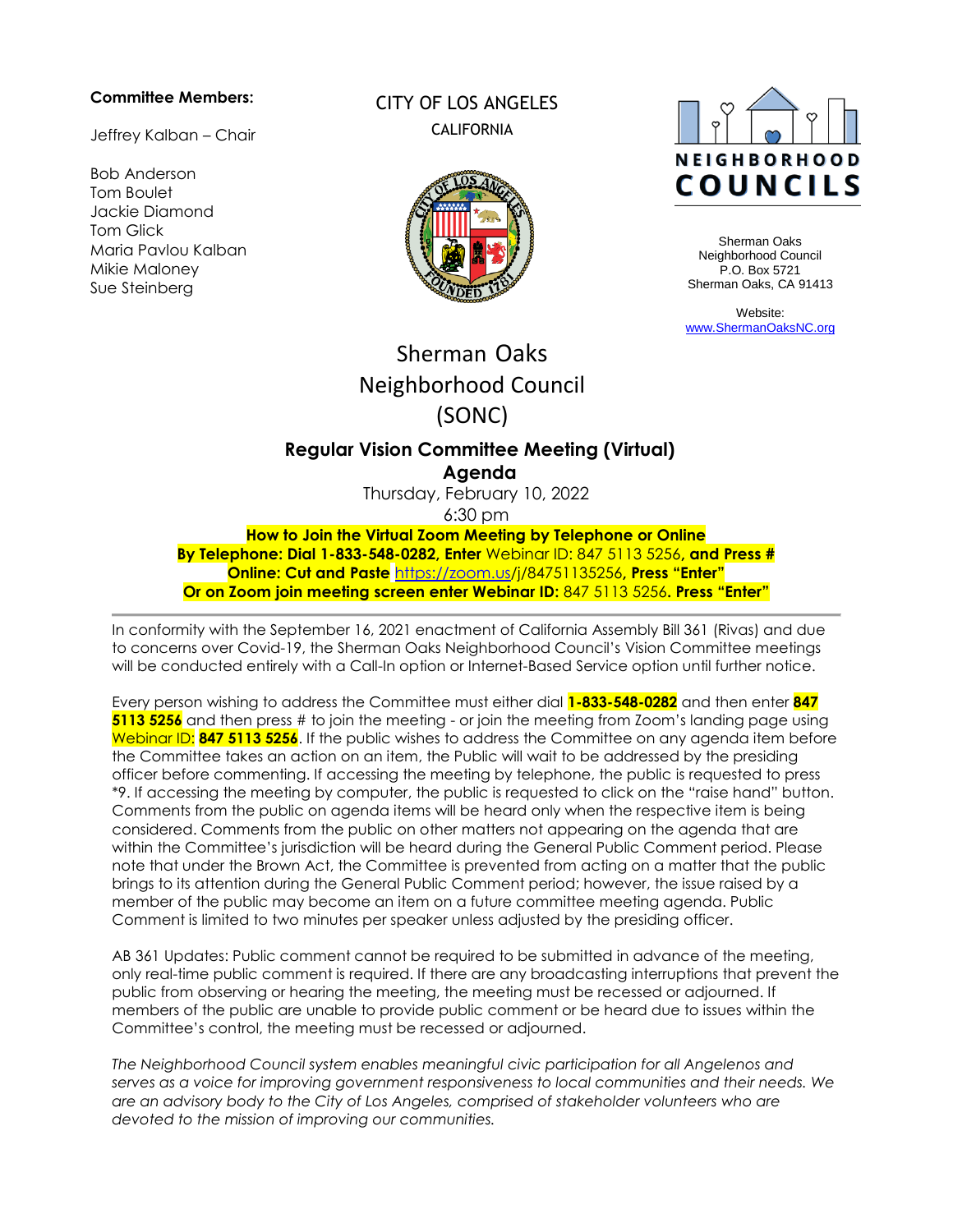#### **Committee Members:**

Jeffrey Kalban – Chair

Bob Anderson Tom Boulet Jackie Diamond Tom Glick Maria Pavlou Kalban Mikie Maloney Sue Steinberg

## CITY OF LOS ANGELES CALIFORNIA





Sherman Oaks Neighborhood Council P.O. Box 5721 Sherman Oaks, CA 91413

Website: [www.ShermanOaksNC.org](http://www.shermanoaksnc.org/)

# Sherman Oaks Neighborhood Council (SONC)

## **Regular Vision Committee Meeting (Virtual) Agenda**

Thursday, February 10, 2022

6:30 pm

**How to Join the Virtual Zoom Meeting by Telephone or Online By Telephone: Dial 1-833-548-0282, Enter** Webinar ID: 847 5113 5256**, and Press # Online: Cut and Paste** [https://zoom.us/j/84751135256](https://zoom.us/j/98855253374)**, Press "Enter" Or on Zoom join meeting screen enter Webinar ID:** 847 5113 5256**. Press "Enter"**

In conformity with the September 16, 2021 enactment of California Assembly Bill 361 (Rivas) and due to concerns over Covid-19, the Sherman Oaks Neighborhood Council's Vision Committee meetings will be conducted entirely with a Call-In option or Internet-Based Service option until further notice.

Every person wishing to address the Committee must either dial **1-833-548-0282** and then enter **847 5113 5256** and then press # to join the meeting - or join the meeting from Zoom's landing page using Webinar ID: **847 5113 5256**. If the public wishes to address the Committee on any agenda item before the Committee takes an action on an item, the Public will wait to be addressed by the presiding officer before commenting. If accessing the meeting by telephone, the public is requested to press \*9. If accessing the meeting by computer, the public is requested to click on the "raise hand" button. Comments from the public on agenda items will be heard only when the respective item is being considered. Comments from the public on other matters not appearing on the agenda that are within the Committee's jurisdiction will be heard during the General Public Comment period. Please note that under the Brown Act, the Committee is prevented from acting on a matter that the public brings to its attention during the General Public Comment period; however, the issue raised by a member of the public may become an item on a future committee meeting agenda. Public Comment is limited to two minutes per speaker unless adjusted by the presiding officer.

AB 361 Updates: Public comment cannot be required to be submitted in advance of the meeting, only real-time public comment is required. If there are any broadcasting interruptions that prevent the public from observing or hearing the meeting, the meeting must be recessed or adjourned. If members of the public are unable to provide public comment or be heard due to issues within the Committee's control, the meeting must be recessed or adjourned.

*The Neighborhood Council system enables meaningful civic participation for all Angelenos and serves as a voice for improving government responsiveness to local communities and their needs. We are an advisory body to the City of Los Angeles, comprised of stakeholder volunteers who are devoted to the mission of improving our communities.*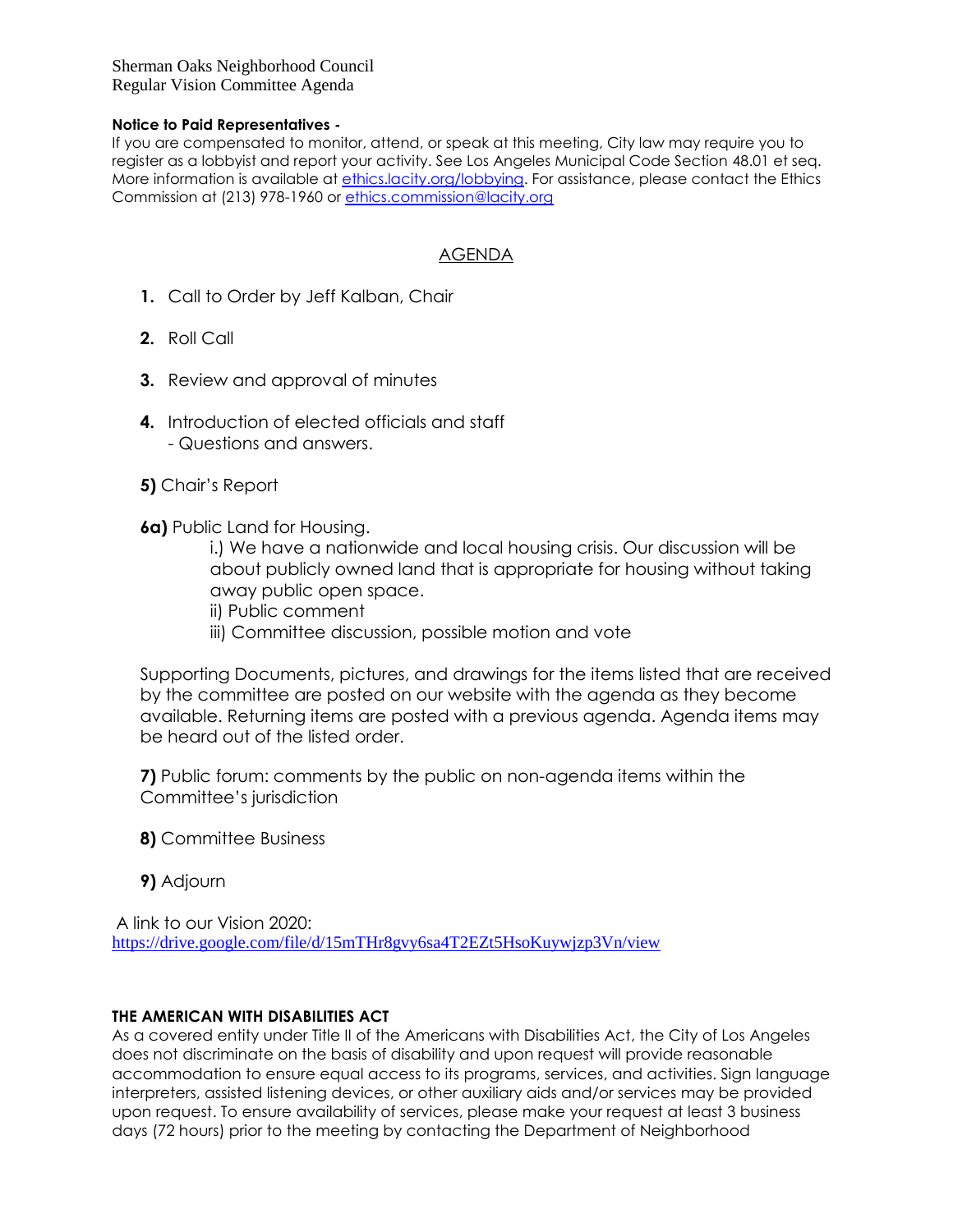Sherman Oaks Neighborhood Council Regular Vision Committee Agenda

#### **Notice to Paid Representatives -**

If you are compensated to monitor, attend, or speak at this meeting, City law may require you to register as a lobbyist and report your activity. See Los Angeles Municipal Code Section 48.01 et seq. More information is available at [ethics.lacity.org/lobbying.](http://ethics.lacity.org/lobbying) For assistance, please contact the Ethics Commission at (213) 978-1960 or [ethics.commission@lacity.org](mailto:ethics.commission@lacity.org)

### AGENDA

- **1.** Call to Order by Jeff Kalban, Chair
- **2.** Roll Call
- **3.** Review and approval of minutes
- **4.** Introduction of elected officials and staff - Questions and answers.
- **5)** Chair's Report
- **6a)** Public Land for Housing.

i.) We have a nationwide and local housing crisis. Our discussion will be about publicly owned land that is appropriate for housing without taking away public open space.

ii) Public comment

iii) Committee discussion, possible motion and vote

Supporting Documents, pictures, and drawings for the items listed that are received by the committee are posted on our website with the agenda as they become available. Returning items are posted with a previous agenda. Agenda items may be heard out of the listed order.

**7)** Public forum: comments by the public on non-agenda items within the Committee's jurisdiction

- **8)** Committee Business
- **9)** Adjourn

A link to our Vision 2020:

<https://drive.google.com/file/d/15mTHr8gvy6sa4T2EZt5HsoKuywjzp3Vn/view>

#### **THE AMERICAN WITH DISABILITIES ACT**

As a covered entity under Title II of the Americans with Disabilities Act, the City of Los Angeles does not discriminate on the basis of disability and upon request will provide reasonable accommodation to ensure equal access to its programs, services, and activities. Sign language interpreters, assisted listening devices, or other auxiliary aids and/or services may be provided upon request. To ensure availability of services, please make your request at least 3 business days (72 hours) prior to the meeting by contacting the Department of Neighborhood